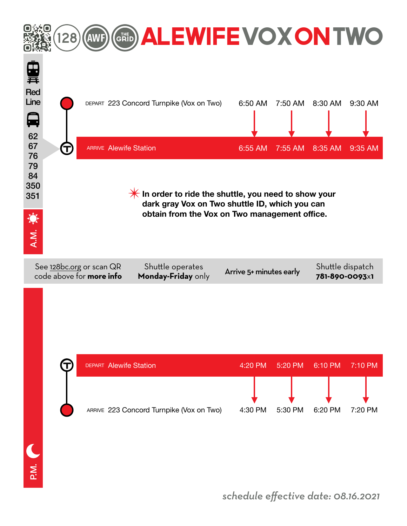

*schedule effective date: 08.16.2021*